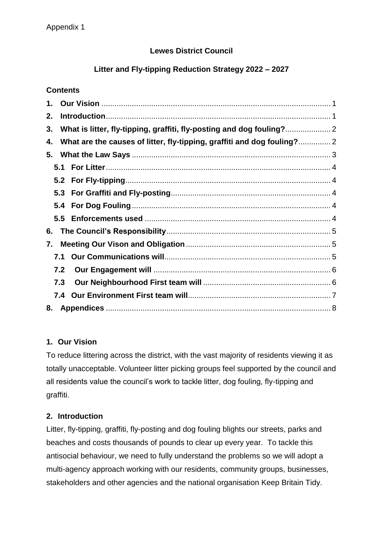# **Lewes District Council**

# **Litter and Fly-tipping Reduction Strategy 2022 – 2027**

## **Contents**

| 1. |                                                                       |  |  |  |  |  |  |
|----|-----------------------------------------------------------------------|--|--|--|--|--|--|
| 2. |                                                                       |  |  |  |  |  |  |
| 3. | What is litter, fly-tipping, graffiti, fly-posting and dog fouling? 2 |  |  |  |  |  |  |
| 4. |                                                                       |  |  |  |  |  |  |
| 5. |                                                                       |  |  |  |  |  |  |
|    |                                                                       |  |  |  |  |  |  |
|    |                                                                       |  |  |  |  |  |  |
|    |                                                                       |  |  |  |  |  |  |
|    |                                                                       |  |  |  |  |  |  |
|    | 5.5                                                                   |  |  |  |  |  |  |
| 6. |                                                                       |  |  |  |  |  |  |
| 7. |                                                                       |  |  |  |  |  |  |
|    | 7.1                                                                   |  |  |  |  |  |  |
|    | 7.2                                                                   |  |  |  |  |  |  |
|    | 7.3                                                                   |  |  |  |  |  |  |
|    | 7.4                                                                   |  |  |  |  |  |  |
| 8. |                                                                       |  |  |  |  |  |  |

# <span id="page-0-0"></span>**1. Our Vision**

To reduce littering across the district, with the vast majority of residents viewing it as totally unacceptable. Volunteer litter picking groups feel supported by the council and all residents value the council's work to tackle litter, dog fouling, fly-tipping and graffiti.

# <span id="page-0-1"></span>**2. Introduction**

Litter, fly-tipping, graffiti, fly-posting and dog fouling blights our streets, parks and beaches and costs thousands of pounds to clear up every year. To tackle this antisocial behaviour, we need to fully understand the problems so we will adopt a multi-agency approach working with our residents, community groups, businesses, stakeholders and other agencies and the national organisation Keep Britain Tidy.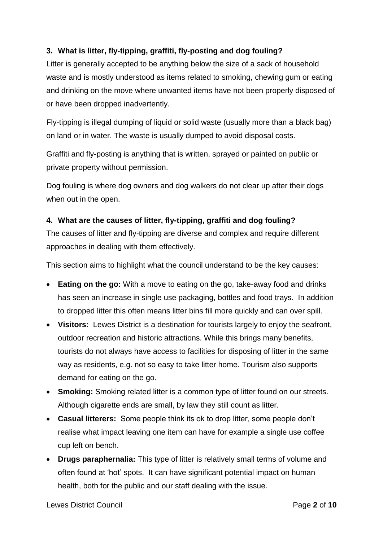## <span id="page-1-0"></span>**3. What is litter, fly-tipping, graffiti, fly-posting and dog fouling?**

Litter is generally accepted to be anything below the size of a sack of household waste and is mostly understood as items related to smoking, chewing gum or eating and drinking on the move where unwanted items have not been properly disposed of or have been dropped inadvertently.

Fly-tipping is illegal dumping of liquid or solid waste (usually more than a black bag) on land or in water. The waste is usually dumped to avoid disposal costs.

Graffiti and fly-posting is anything that is written, sprayed or painted on public or private property without permission.

Dog fouling is where dog owners and dog walkers do not clear up after their dogs when out in the open.

### <span id="page-1-1"></span>**4. What are the causes of litter, fly-tipping, graffiti and dog fouling?**

The causes of litter and fly-tipping are diverse and complex and require different approaches in dealing with them effectively.

This section aims to highlight what the council understand to be the key causes:

- **Eating on the go:** With a move to eating on the go, take-away food and drinks has seen an increase in single use packaging, bottles and food trays. In addition to dropped litter this often means litter bins fill more quickly and can over spill.
- **Visitors:** Lewes District is a destination for tourists largely to enjoy the seafront, outdoor recreation and historic attractions. While this brings many benefits, tourists do not always have access to facilities for disposing of litter in the same way as residents, e.g. not so easy to take litter home. Tourism also supports demand for eating on the go.
- **Smoking:** Smoking related litter is a common type of litter found on our streets. Although cigarette ends are small, by law they still count as litter.
- **Casual litterers:** Some people think its ok to drop litter, some people don't realise what impact leaving one item can have for example a single use coffee cup left on bench.
- **Drugs paraphernalia:** This type of litter is relatively small terms of volume and often found at 'hot' spots. It can have significant potential impact on human health, both for the public and our staff dealing with the issue.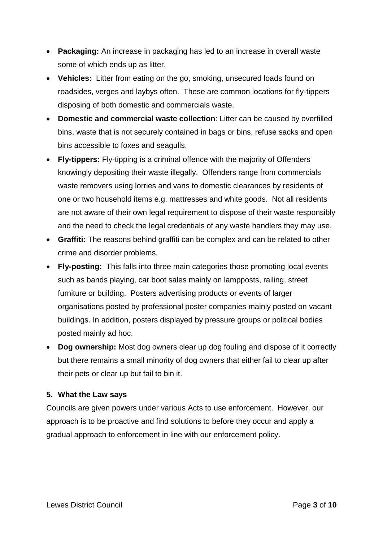- **Packaging:** An increase in packaging has led to an increase in overall waste some of which ends up as litter.
- **Vehicles:** Litter from eating on the go, smoking, unsecured loads found on roadsides, verges and laybys often. These are common locations for fly-tippers disposing of both domestic and commercials waste.
- **Domestic and commercial waste collection**: Litter can be caused by overfilled bins, waste that is not securely contained in bags or bins, refuse sacks and open bins accessible to foxes and seagulls.
- **Fly-tippers:** Fly-tipping is a criminal offence with the majority of Offenders knowingly depositing their waste illegally. Offenders range from commercials waste removers using lorries and vans to domestic clearances by residents of one or two household items e.g. mattresses and white goods. Not all residents are not aware of their own legal requirement to dispose of their waste responsibly and the need to check the legal credentials of any waste handlers they may use.
- **Graffiti:** The reasons behind graffiti can be complex and can be related to other crime and disorder problems.
- **Fly-posting:** This falls into three main categories those promoting local events such as bands playing, car boot sales mainly on lampposts, railing, street furniture or building. Posters advertising products or events of larger organisations posted by professional poster companies mainly posted on vacant buildings. In addition, posters displayed by pressure groups or political bodies posted mainly ad hoc.
- **Dog ownership:** Most dog owners clear up dog fouling and dispose of it correctly but there remains a small minority of dog owners that either fail to clear up after their pets or clear up but fail to bin it.

### <span id="page-2-0"></span>**5. What the Law says**

Councils are given powers under various Acts to use enforcement. However, our approach is to be proactive and find solutions to before they occur and apply a gradual approach to enforcement in line with our enforcement policy.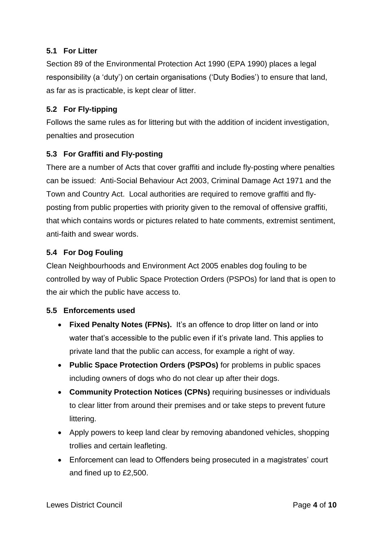## <span id="page-3-0"></span>**5.1 For Litter**

Section 89 of the Environmental Protection Act 1990 (EPA 1990) places a legal responsibility (a 'duty') on certain organisations ('Duty Bodies') to ensure that land, as far as is practicable, is kept clear of litter.

## <span id="page-3-1"></span>**5.2 For Fly-tipping**

Follows the same rules as for littering but with the addition of incident investigation, penalties and prosecution

## <span id="page-3-2"></span>**5.3 For Graffiti and Fly-posting**

There are a number of Acts that cover graffiti and include fly-posting where penalties can be issued: Anti-Social Behaviour Act 2003, Criminal Damage Act 1971 and the Town and Country Act. Local authorities are required to remove graffiti and flyposting from public properties with priority given to the removal of offensive graffiti, that which contains words or pictures related to hate comments, extremist sentiment, anti-faith and swear words.

## <span id="page-3-3"></span>**5.4 For Dog Fouling**

Clean Neighbourhoods and Environment Act 2005 enables dog fouling to be controlled by way of Public Space Protection Orders (PSPOs) for land that is open to the air which the public have access to.

### <span id="page-3-4"></span>**5.5 Enforcements used**

- **Fixed Penalty Notes (FPNs).** It's an offence to drop litter on land or into water that's accessible to the public even if it's private land. This applies to private land that the public can access, for example a right of way.
- **Public Space Protection Orders (PSPOs)** for problems in public spaces including owners of dogs who do not clear up after their dogs.
- **Community Protection Notices (CPNs)** requiring businesses or individuals to clear litter from around their premises and or take steps to prevent future littering.
- Apply powers to keep land clear by removing abandoned vehicles, shopping trollies and certain leafleting.
- Enforcement can lead to Offenders being prosecuted in a magistrates' court and fined up to £2,500.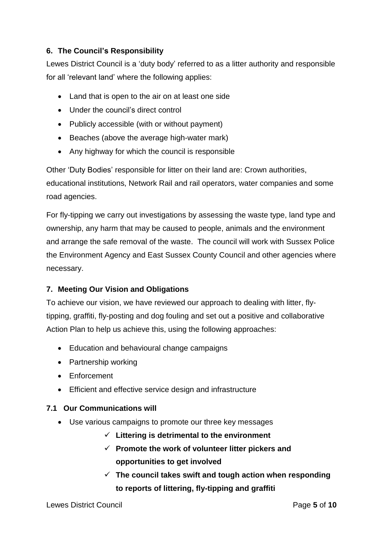## <span id="page-4-0"></span>**6. The Council's Responsibility**

Lewes District Council is a 'duty body' referred to as a litter authority and responsible for all 'relevant land' where the following applies:

- Land that is open to the air on at least one side
- Under the council's direct control
- Publicly accessible (with or without payment)
- Beaches (above the average high-water mark)
- Any highway for which the council is responsible

Other 'Duty Bodies' responsible for litter on their land are: Crown authorities, educational institutions, Network Rail and rail operators, water companies and some road agencies.

For fly-tipping we carry out investigations by assessing the waste type, land type and ownership, any harm that may be caused to people, animals and the environment and arrange the safe removal of the waste. The council will work with Sussex Police the Environment Agency and East Sussex County Council and other agencies where necessary.

### <span id="page-4-1"></span>**7. Meeting Our Vision and Obligations**

To achieve our vision, we have reviewed our approach to dealing with litter, flytipping, graffiti, fly-posting and dog fouling and set out a positive and collaborative Action Plan to help us achieve this, using the following approaches:

- Education and behavioural change campaigns
- Partnership working
- Enforcement
- Efficient and effective service design and infrastructure

### <span id="page-4-2"></span>**7.1 Our Communications will**

- Use various campaigns to promote our three key messages
	- **Littering is detrimental to the environment**
	- **Promote the work of volunteer litter pickers and opportunities to get involved**
	- **The council takes swift and tough action when responding to reports of littering, fly-tipping and graffiti**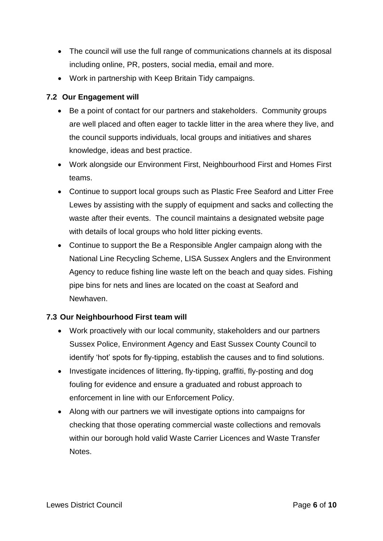- The council will use the full range of communications channels at its disposal including online, PR, posters, social media, email and more.
- Work in partnership with Keep Britain Tidy campaigns.

## **7.2 Our Engagement will**

- <span id="page-5-0"></span>• Be a point of contact for our partners and stakeholders. Community groups are well placed and often eager to tackle litter in the area where they live, and the council supports individuals, local groups and initiatives and shares knowledge, ideas and best practice.
- Work alongside our Environment First, Neighbourhood First and Homes First teams.
- Continue to support local groups such as Plastic Free Seaford and Litter Free Lewes by assisting with the supply of equipment and sacks and collecting the waste after their events. The council maintains a designated website page with details of local groups who hold litter picking events.
- Continue to support the Be a Responsible Angler campaign along with the National Line Recycling Scheme, LISA Sussex Anglers and the Environment Agency to reduce fishing line waste left on the beach and quay sides. Fishing pipe bins for nets and lines are located on the coast at Seaford and Newhaven.

### <span id="page-5-1"></span>**7.3 Our Neighbourhood First team will**

- Work proactively with our local community, stakeholders and our partners Sussex Police, Environment Agency and East Sussex County Council to identify 'hot' spots for fly-tipping, establish the causes and to find solutions.
- Investigate incidences of littering, fly-tipping, graffiti, fly-posting and dog fouling for evidence and ensure a graduated and robust approach to enforcement in line with our Enforcement Policy.
- Along with our partners we will investigate options into campaigns for checking that those operating commercial waste collections and removals within our borough hold valid Waste Carrier Licences and Waste Transfer Notes.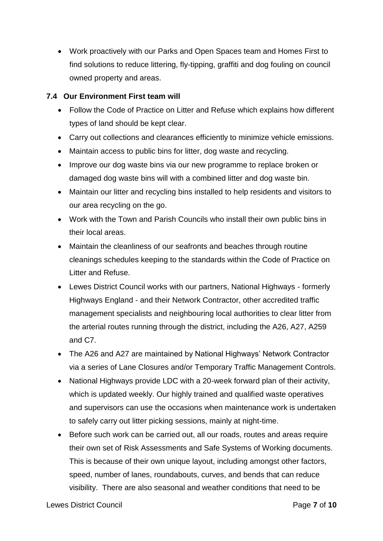Work proactively with our Parks and Open Spaces team and Homes First to find solutions to reduce littering, fly-tipping, graffiti and dog fouling on council owned property and areas.

## <span id="page-6-0"></span>**7.4 Our Environment First team will**

- Follow the Code of Practice on Litter and Refuse which explains how different types of land should be kept clear.
- Carry out collections and clearances efficiently to minimize vehicle emissions.
- Maintain access to public bins for litter, dog waste and recycling.
- Improve our dog waste bins via our new programme to replace broken or damaged dog waste bins will with a combined litter and dog waste bin.
- Maintain our litter and recycling bins installed to help residents and visitors to our area recycling on the go.
- Work with the Town and Parish Councils who install their own public bins in their local areas.
- Maintain the cleanliness of our seafronts and beaches through routine cleanings schedules keeping to the standards within the Code of Practice on Litter and Refuse.
- Lewes District Council works with our partners, National Highways formerly Highways England - and their Network Contractor, other accredited traffic management specialists and neighbouring local authorities to clear litter from the arterial routes running through the district, including the A26, A27, A259 and C7.
- The A26 and A27 are maintained by National Highways' Network Contractor via a series of Lane Closures and/or Temporary Traffic Management Controls.
- National Highways provide LDC with a 20-week forward plan of their activity, which is updated weekly. Our highly trained and qualified waste operatives and supervisors can use the occasions when maintenance work is undertaken to safely carry out litter picking sessions, mainly at night-time.
- Before such work can be carried out, all our roads, routes and areas require their own set of Risk Assessments and Safe Systems of Working documents. This is because of their own unique layout, including amongst other factors, speed, number of lanes, roundabouts, curves, and bends that can reduce visibility. There are also seasonal and weather conditions that need to be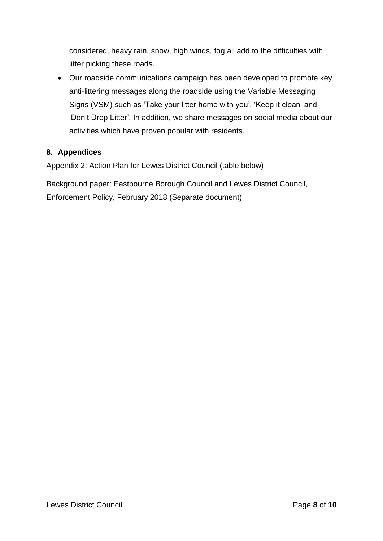considered, heavy rain, snow, high winds, fog all add to the difficulties with litter picking these roads.

 Our roadside communications campaign has been developed to promote key anti-littering messages along the roadside using the Variable Messaging Signs (VSM) such as 'Take your litter home with you', 'Keep it clean' and 'Don't Drop Litter'. In addition, we share messages on social media about our activities which have proven popular with residents.

### <span id="page-7-0"></span>**8. Appendices**

Appendix 2: Action Plan for Lewes District Council (table below)

Background paper: Eastbourne Borough Council and Lewes District Council, Enforcement Policy, February 2018 (Separate document)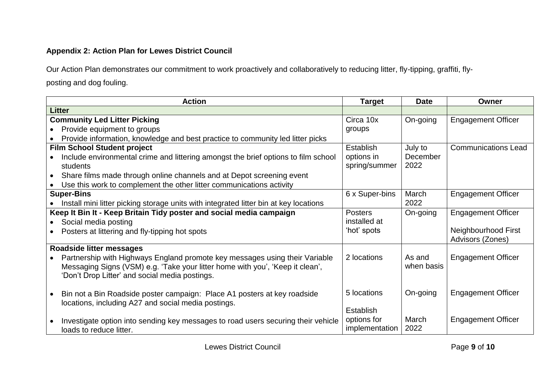## **Appendix 2: Action Plan for Lewes District Council**

Our Action Plan demonstrates our commitment to work proactively and collaboratively to reducing litter, fly-tipping, graffiti, flyposting and dog fouling.

|                                                                     | <b>Action</b>                                                                         | <b>Target</b>  | <b>Date</b> | Owner                      |
|---------------------------------------------------------------------|---------------------------------------------------------------------------------------|----------------|-------------|----------------------------|
| <b>Litter</b>                                                       |                                                                                       |                |             |                            |
| <b>Community Led Litter Picking</b>                                 |                                                                                       | Circa 10x      | On-going    | <b>Engagement Officer</b>  |
|                                                                     | Provide equipment to groups                                                           | groups         |             |                            |
|                                                                     | Provide information, knowledge and best practice to community led litter picks        |                |             |                            |
| <b>Film School Student project</b>                                  |                                                                                       | Establish      | July to     | <b>Communications Lead</b> |
|                                                                     | Include environmental crime and littering amongst the brief options to film school    | options in     | December    |                            |
|                                                                     | students                                                                              | spring/summer  | 2022        |                            |
| $\bullet$                                                           | Share films made through online channels and at Depot screening event                 |                |             |                            |
|                                                                     | Use this work to complement the other litter communications activity                  |                |             |                            |
|                                                                     | <b>Super-Bins</b>                                                                     | 6 x Super-bins | March       | <b>Engagement Officer</b>  |
|                                                                     | Install mini litter picking storage units with integrated litter bin at key locations |                | 2022        |                            |
| Keep It Bin It - Keep Britain Tidy poster and social media campaign |                                                                                       | <b>Posters</b> | On-going    | <b>Engagement Officer</b>  |
|                                                                     | Social media posting                                                                  | installed at   |             |                            |
|                                                                     | Posters at littering and fly-tipping hot spots                                        | 'hot' spots    |             | Neighbourhood First        |
|                                                                     |                                                                                       |                |             | Advisors (Zones)           |
| Roadside litter messages                                            |                                                                                       |                |             |                            |
|                                                                     | Partnership with Highways England promote key messages using their Variable           | 2 locations    | As and      | <b>Engagement Officer</b>  |
|                                                                     | Messaging Signs (VSM) e.g. 'Take your litter home with you', 'Keep it clean',         |                | when basis  |                            |
|                                                                     | 'Don't Drop Litter' and social media postings.                                        |                |             |                            |
|                                                                     |                                                                                       |                |             |                            |
|                                                                     | Bin not a Bin Roadside poster campaign: Place A1 posters at key roadside              | 5 locations    | On-going    | <b>Engagement Officer</b>  |
|                                                                     | locations, including A27 and social media postings.                                   |                |             |                            |
|                                                                     |                                                                                       | Establish      |             |                            |
|                                                                     | Investigate option into sending key messages to road users securing their vehicle     | options for    | March       | <b>Engagement Officer</b>  |
|                                                                     | loads to reduce litter.                                                               | implementation | 2022        |                            |